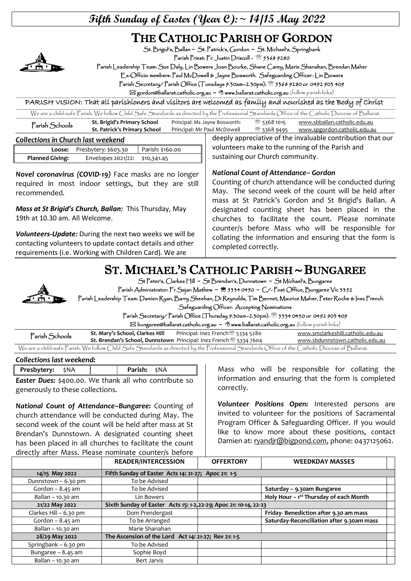## **Fifth Sunday of Easter (Year C):~ 14/15 May 2022**

# THE CATHOLIC PARISH OF GORDON



St. Brigid's, Ballan ~ St. Patrick's, Gordon ~ St. Michael's, Springbank

Parish Priest: Fr. Justin Driscoll - 2 5368 9280

Parish Leadership Team: Sue Daly, Lin Bowers Joan Bourke, Shane Carey, Marie Shanahan, Brendan Maher

Ex-Officio members: Paul McDowell & Jayne Bosworth. Safeguarding Officer : Lin Bowers

Parish Secretary/ Parish Office (Tuesdays 9.30am–2.30pm): 5368 9280 or 0492 903 409

 $\boxtimes$  gordon@ballarat.catholic.org.au ~  $\textcircled{t}$  www.ballarat.catholic.org.au (follow parish links)

PARISH VISION: That all parishioners and visitors are welcomed as family and nourished as the Body of Christ

| We are a child-safe Parish. We follow Child Safe Standards as directed by the Professional Standards Office of the Catholic Diocese of Ballarat. |                              |                               |             |                              |  |
|--------------------------------------------------------------------------------------------------------------------------------------------------|------------------------------|-------------------------------|-------------|------------------------------|--|
| Parish Schools                                                                                                                                   | St. Brigid's Primary School  | Principal: Ms Jayne Bosworth: | ි 5368 1015 | www.sbballan.catholic.edu.au |  |
|                                                                                                                                                  | St. Patrick's Primary School | Principal: Mr Paul McDowell   | ී 5368 9495 | www.spgordon.catholic.edu.au |  |

#### *Collections in Church last weekend*

|                        | Loose: Presbytery: \$603.30    | Parish: \$160.00 |
|------------------------|--------------------------------|------------------|
| <b>Planned Giving:</b> | Envelopes 2021/22: \$10,341.45 |                  |

*Novel coronavirus (COVID-19)* Face masks are no longer required in most indoor settings, but they are still recommended.

*Mass at St Brigid's Church, Ballan:* This Thursday, May 19th at 10.30 am. All Welcome.

*Volunteers-Update:* During the next two weeks we will be contacting volunteers to update contact details and other requirements (i.e. Working with Children Card). We are

#### deeply appreciative of the invaluable contribution that our volunteers make to the running of the Parish and sustaining our Church community.

#### *National Count of Attendance– Gordon*

Counting of church attendance will be conducted during May. The second week of the count will be held after mass at St Patrick's Gordon and St Brigid's Ballan. A designated counting sheet has been placed in the churches to facilitate the count. Please nominate counter/s before Mass who will be responsible for collating the information and ensuring that the form is completed correctly.

# ST. MICHAEL'S CATHOLIC PARISH ~ BUNGAREE



St Peter's, Clarkes Hill ~ St Brendan's, Dunnstown ~ St Michael's, Bungaree

Parish Administrator: Fr Sajan Mathew ~ <sup>8</sup> 5334 0450 ~ C/-Post Office, Bungaree Vic 3352

Parish Leadership Team: Damien Ryan, Barry Sheehan, Di Reynolds, Tim Bennet, Maurice Maher, Peter Roche & Inez French. Safeguarding Officer: Accepting Nominations

Parish Secretary/ Parish Office (Thursday 9.30am–2.30pm): 5334 0450 or 0492 903 409

 $\boxtimes$  bungaree@ballarat.catholic.org.au  $\sim$  <sup> $\oplus$ </sup> www.ballarat.catholic.org.au (follow parish links)

| Parish Schools | St. Mary's School, Clarkes Hill | Principal: Inez French <sup>3</sup> 5334 5280                                                                                                    | www.smclarkeshill.catholic.edu.au |
|----------------|---------------------------------|--------------------------------------------------------------------------------------------------------------------------------------------------|-----------------------------------|
|                |                                 | <b>St. Brendan's School, Dunnstown</b> Principal: Inez French <sup>3</sup> 5334 7604                                                             | www.sbdunnstown.catholic.edu.au   |
|                |                                 | We are a child-safe Parish. We follow Child Safe Standards as directed by the Professional Standards Office of the Catholic Diocese of Ballarat. |                                   |

| <b>Presbytery:</b> \$NA |  | <b>Parish:</b> \$NA |  |
|-------------------------|--|---------------------|--|

*Easter Dues:* \$400.00. We thank all who contribute so generously to these collections.

*National Count of Attendance–Bungaree:* Counting of church attendance will be conducted during May. The second week of the count will be held after mass at St Brendan's Dunnstown. A designated counting sheet has been placed in all churches to facilitate the count directly after Mass. Please nominate counter/s before

Mass who will be responsible for collating the information and ensuring that the form is completed correctly.

*Volunteer Positions Open:* Interested persons are invited to volunteer for the positions of Sacramental Program Officer & Safeguarding Officer. If you would like to know more about these positions, contact Damien at: ryandir@bigpond.com, phone: 0437125062.

|                        | <b>READER/INTERCESSION</b>                                       | <b>OFFERTORY</b> | <b>WEEDKDAY MASSES</b>                    |  |
|------------------------|------------------------------------------------------------------|------------------|-------------------------------------------|--|
| 14/15 May 2022         | Fifth Sunday of Easter Acts 14: 21-27; Apoc 21: 1-5              |                  |                                           |  |
| Dunnstown - 6.30 pm    | To be Advised                                                    |                  |                                           |  |
| Gordon $-8.45$ am      | To be Advised                                                    |                  | Saturday - 9.30am Bungaree                |  |
| Ballan - 10.30 am      | Lin Bowers                                                       |                  | Holy Hour - 1st Thursday of each Month    |  |
| 21/22 May 2022         | Sixth Sunday of Easter Acts 15: 1-2,22-29; Apoc 21: 10-14, 22-23 |                  |                                           |  |
| Clarkes Hill - 6.30 pm | Dom Prendergast                                                  |                  | Friday-Benediction after 9.30 am mass     |  |
| Gordon $-8.45$ am      | To be Arranged                                                   |                  | Saturday-Reconciliation after 9.30am mass |  |
| Ballan - 10.30 am      | Marie Shanahan                                                   |                  |                                           |  |
| 28/29 May 2022         | The Ascension of the Lord Act 14: 21-27; Rev 21: 1-5             |                  |                                           |  |
| Springbank - 6.30 pm   | To be Advised                                                    |                  |                                           |  |
| Bungaree - 8.45 am     | Sophie Boyd                                                      |                  |                                           |  |
| Ballan - 10.30 am      | Bert Jarvis                                                      |                  |                                           |  |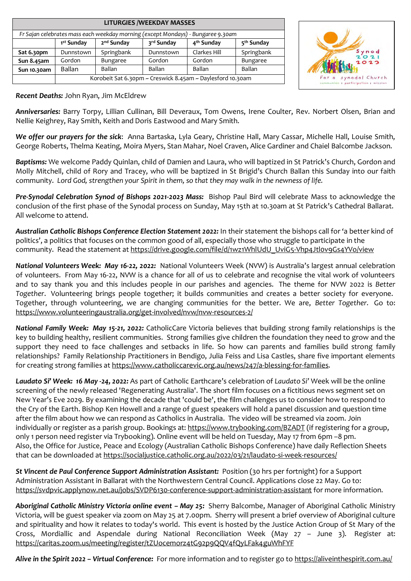| <b>LITURGIES /WEEKDAY MASSES</b>                                                 |                                                            |                        |            |                        |                        |
|----------------------------------------------------------------------------------|------------------------------------------------------------|------------------------|------------|------------------------|------------------------|
| Fr Sajan celebrates mass each weekday morning (except Mondays) - Bungaree 9.30am |                                                            |                        |            |                        |                        |
|                                                                                  | 1 <sup>st</sup> Sunday                                     | 2 <sup>nd</sup> Sunday | 3rd Sunday | 4 <sup>th</sup> Sunday | 5 <sup>th</sup> Sunday |
| Sat 6.30pm                                                                       | Dunnstown                                                  | Springbank             | Dunnstown  | Clarkes Hill           | Springbank             |
| Sun 8.45am                                                                       | Gordon                                                     | <b>Bungaree</b>        | Gordon     | Gordon                 | Bungaree               |
| Sun 10.30am                                                                      | <b>Ballan</b>                                              | <b>Ballan</b>          | Ballan     | Ballan                 | <b>Ballan</b>          |
|                                                                                  | Korobeit Sat 6.30pm ~ Creswick 8.45am ~ Daylesford 10.30am |                        |            |                        |                        |



#### *Recent Deaths:* John Ryan, Jim McEldrew

*Anniversaries:* Barry Torpy, Lillian Cullinan, Bill Deveraux, Tom Owens, Irene Coulter, Rev. Norbert Olsen, Brian and Nellie Keighrey, Ray Smith, Keith and Doris Eastwood and Mary Smith.

*We offer our prayers for the sick*: Anna Bartaska, Lyla Geary, Christine Hall, Mary Cassar, Michelle Hall, Louise Smith, George Roberts, Thelma Keating, Moira Myers, Stan Mahar, Noel Craven, Alice Gardiner and Chaiel Balcombe Jackson.

*Baptisms:* We welcome Paddy Quinlan, child of Damien and Laura, who will baptized in St Patrick's Church, Gordon and Molly Mitchell, child of Rory and Tracey, who will be baptized in St Brigid's Church Ballan this Sunday into our faith community. *Lord God, strengthen your Spirit in them, so that they may walk in the newness of life.*

*Pre-Synodal Celebration Synod of Bishops 2021-2023 Mass:* Bishop Paul Bird will celebrate Mass to acknowledge the conclusion of the first phase of the Synodal process on Sunday, May 15th at 10.30am at St Patrick's Cathedral Ballarat. All welcome to attend.

*Australian Catholic Bishops Conference Election Statement 2022:* In their statement the bishops call for 'a better kind of politics', a politics that focuses on the common good of all, especially those who struggle to participate in the community. Read the statement at https://drive.google.com/file/d/1wz1WhlUdU\_UviG5-Vhp4Jtlov9Gs4YVo/view

*National Volunteers Week: May 16-22, 2022:* National Volunteers Week (NVW) is Australia's largest annual celebration of volunteers. From May 16-22, NVW is a chance for all of us to celebrate and recognise the vital work of volunteers and to say thank you and this includes people in our parishes and agencies. The theme for NVW 2022 is *Better Together*. Volunteering brings people together; it builds communities and creates a better society for everyone. Together, through volunteering, we are changing communities for the better. We are, *Better Together.* Go to: <https://www.volunteeringaustralia.org/get-involved/nvw/nvw-resources-2/>

*National Family Week: May 15-21, 2022:* CatholicCare Victoria believes that building strong family relationships is the key to building healthy, resilient communities. Strong families give children the foundation they need to grow and the support they need to face challenges and setbacks in life. So how can parents and families build strong family relationships? Family Relationship Practitioners in Bendigo, Julia Feiss and Lisa Castles, share five important elements for creating strong families at [https://www.catholiccarevic.org.au/news/247/a-blessing-for-families.](https://www.catholiccarevic.org.au/news/247/a-blessing-for-families)

*Laudato Si' Week: 16 May -24, 2022:* As part of Catholic Earthcare's celebration of *Laudato Si'* Week will be the online screening of the newly released 'Regenerating Australia'. The short film focuses on a fictitious news segment set on New Year's Eve 2029. By examining the decade that 'could be', the film challenges us to consider how to respond to the Cry of the Earth. Bishop Ken Howell and a range of guest speakers will hold a panel discussion and question time after the film about how we can respond as Catholics in Australia. The video will be streamed via zoom. Join individually or register as a parish group. Bookings at: <https://www.trybooking.com/BZADT> (if registering for a group, only 1 person need register via Trybooking). Online event will be held on Tuesday, May 17 from 6pm –8 pm. Also, the Office for Justice, Peace and Ecology (Australian Catholic Bishops Conference) have daily Reflection Sheets that can be downloaded a[t https://socialjustice.catholic.org.au/2022/03/21/laudato-si-week-resources/](https://socialjustice.catholic.org.au/2022/03/21/laudato-si-week-resources/)

*St Vincent de Paul Conference Support Administration Assistant:* Position (30 hrs per fortnight) for a Support Administration Assistant in Ballarat with the Northwestern Central Council. Applications close 22 May. Go to: <https://svdpvic.applynow.net.au/jobs/SVDP6130-conference-support-administration-assistant> for more information.

*Aboriginal Catholic Ministry Victoria online event – May 25:* Sherry Balcombe, Manager of Aboriginal Catholic Ministry Victoria, will be guest speaker via zoom on May 25 at 7.00pm. Sherry will present a brief overview of Aboriginal culture and spirituality and how it relates to today's world. This event is hosted by the Justice Action Group of St Mary of the Cross, Mordiallic and Aspendale during National Reconciliation Week (May 27 – June 3). Register at: <https://caritas.zoom.us/meeting/register/tZUocemorz4tG92p9QQV4fQyLFak4guWhFYF>

*Alive in the Spirit 2022 – Virtual Conference:* For more information and to register go t[o https://aliveinthespirit.com.au/](https://aliveinthespirit.com.au/)